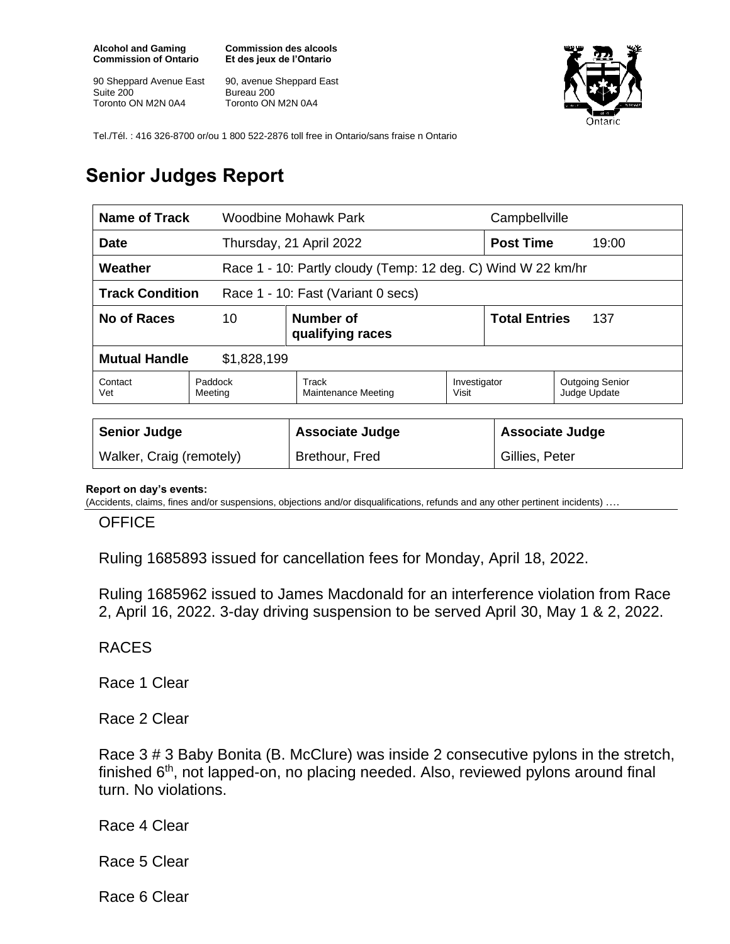**Alcohol and Gaming Commission of Ontario**

90 Sheppard Avenue East Suite 200 Toronto ON M2N 0A4

**Commission des alcools Et des jeux de l'Ontario**

90, avenue Sheppard East Bureau 200 Toronto ON M2N 0A4



Tel./Tél. : 416 326-8700 or/ou 1 800 522-2876 toll free in Ontario/sans fraise n Ontario

## **Senior Judges Report**

| <b>Name of Track</b>                                         |                                     | Woodbine Mohawk Park                                         |                       | Campbellville               |                                        |
|--------------------------------------------------------------|-------------------------------------|--------------------------------------------------------------|-----------------------|-----------------------------|----------------------------------------|
| <b>Date</b>                                                  |                                     | Thursday, 21 April 2022                                      |                       | <b>Post Time</b>            | 19:00                                  |
| Weather                                                      |                                     | Race 1 - 10: Partly cloudy (Temp: 12 deg. C) Wind W 22 km/hr |                       |                             |                                        |
| <b>Track Condition</b><br>Race 1 - 10: Fast (Variant 0 secs) |                                     |                                                              |                       |                             |                                        |
| No of Races                                                  | Number of<br>10<br>qualifying races |                                                              |                       | <b>Total Entries</b><br>137 |                                        |
| <b>Mutual Handle</b><br>\$1,828,199                          |                                     |                                                              |                       |                             |                                        |
| Contact<br>Vet                                               | Paddock<br>Meeting                  | Track<br>Maintenance Meeting                                 | Investigator<br>Visit |                             | <b>Outgoing Senior</b><br>Judge Update |
|                                                              |                                     |                                                              |                       |                             |                                        |
| <b>Senior Judge</b>                                          |                                     | <b>Associate Judge</b>                                       |                       | <b>Associate Judge</b>      |                                        |
| Walker, Craig (remotely)                                     |                                     | Brethour, Fred                                               |                       | Gillies, Peter              |                                        |

## **Report on day's events:**

(Accidents, claims, fines and/or suspensions, objections and/or disqualifications, refunds and any other pertinent incidents) ….

**OFFICE** 

Ruling 1685893 issued for cancellation fees for Monday, April 18, 2022.

Ruling 1685962 issued to James Macdonald for an interference violation from Race 2, April 16, 2022. 3-day driving suspension to be served April 30, May 1 & 2, 2022.

RACES

Race 1 Clear

Race 2 Clear

Race 3 # 3 Baby Bonita (B. McClure) was inside 2 consecutive pylons in the stretch, finished 6<sup>th</sup>, not lapped-on, no placing needed. Also, reviewed pylons around final turn. No violations.

Race 4 Clear

Race 5 Clear

Race 6 Clear